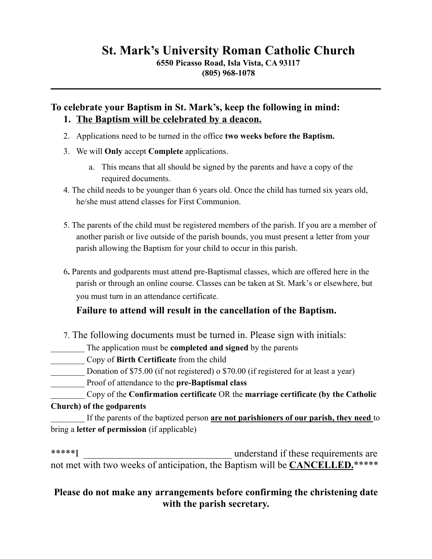# **St. Mark's University Roman Catholic Church**

**6550 Picasso Road, Isla Vista, CA 93117 (805) 968-1078**

# **To celebrate your Baptism in St. Mark's, keep the following in mind: 1. The Baptism will be celebrated by a deacon.**

- 2. Applications need to be turned in the office **two weeks before the Baptism.**
- 3. We will **Only** accept **Complete** applications.
	- a. This means that all should be signed by the parents and have a copy of the required documents.
- 4. The child needs to be younger than 6 years old. Once the child has turned six years old, he/she must attend classes for First Communion.
- 5. The parents of the child must be registered members of the parish. If you are a member of another parish or live outside of the parish bounds, you must present a letter from your parish allowing the Baptism for your child to occur in this parish.
- 6**.** Parents and godparents must attend pre-Baptismal classes, which are offered here in the parish or through an online course. Classes can be taken at St. Mark's or elsewhere, but you must turn in an attendance certificate.

## **Failure to attend will result in the cancellation of the Baptism.**

- 7. The following documents must be turned in. Please sign with initials:
- The application must be **completed and signed** by the parents
- \_\_\_\_\_\_\_\_ Copy of **Birth Certificate** from the child
- Donation of \$75.00 (if not registered) o \$70.00 (if registered for at least a year)
- \_\_\_\_\_\_\_\_ Proof of attendance to the **pre-Baptismal class**
- \_\_\_\_\_\_\_\_ Copy of the **Confirmation certificate** OR the **marriage certificate (by the Catholic Church) of the godparents**

If the parents of the baptized person **are not parishioners of our parish, they need** to bring a **letter of permission** (if applicable)

\*\*\*\*\*I understand if these requirements are not met with two weeks of anticipation, the Baptism will be **CANCELLED.**\*\*\*\*\*

# **Please do not make any arrangements before confirming the christening date with the parish secretary.**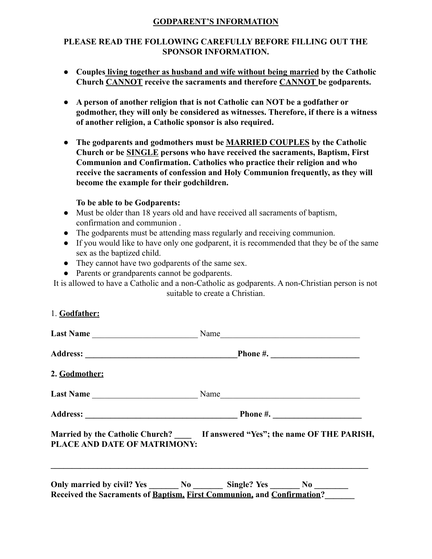#### **GODPARENT'S INFORMATION**

### **PLEASE READ THE FOLLOWING CAREFULLY BEFORE FILLING OUT THE SPONSOR INFORMATION.**

- **● Couples living together as husband and wife without being married by the Catholic Church CANNOT receive the sacraments and therefore CANNOT be godparents.**
- **● A person of another religion that is not Catholic can NOT be a godfather or godmother, they will only be considered as witnesses. Therefore, if there is a witness of another religion, a Catholic sponsor is also required.**
- **● The godparents and godmothers must be MARRIED COUPLES by the Catholic Church or be SINGLE persons who have received the sacraments, Baptism, First Communion and Confirmation. Catholics who practice their religion and who receive the sacraments of confession and Holy Communion frequently, as they will become the example for their godchildren.**

#### **To be able to be Godparents:**

- Must be older than 18 years old and have received all sacraments of baptism, confirmation and communion .
- The godparents must be attending mass regularly and receiving communion.
- If you would like to have only one godparent, it is recommended that they be of the same sex as the baptized child.
- They cannot have two godparents of the same sex.
- Parents or grandparents cannot be godparents.

It is allowed to have a Catholic and a non-Catholic as godparents. A non-Christian person is not suitable to create a Christian.

| 1. Godfather:                |                                                                                                                                                             |
|------------------------------|-------------------------------------------------------------------------------------------------------------------------------------------------------------|
|                              |                                                                                                                                                             |
|                              |                                                                                                                                                             |
| 2. Godmother:                |                                                                                                                                                             |
|                              |                                                                                                                                                             |
|                              |                                                                                                                                                             |
| PLACE AND DATE OF MATRIMONY: | Married by the Catholic Church? If answered "Yes"; the name OF THE PARISH,                                                                                  |
|                              | Only married by civil? Yes ________ No _________ Single? Yes ________ No ________<br>Received the Sacraments of Baptism, First Communion, and Confirmation? |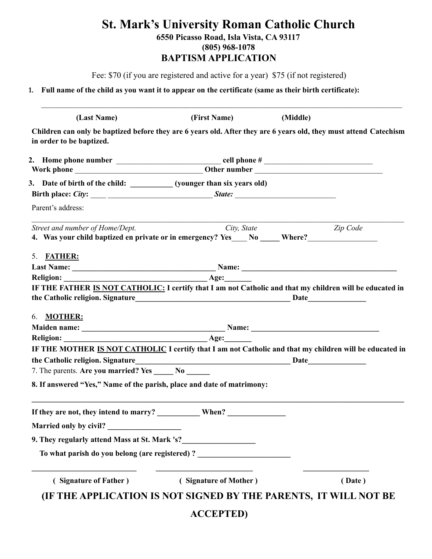# **St. Mark's University Roman Catholic Church**

**6550 Picasso Road, Isla Vista, CA 93117**

**(805) 968-1078**

## **BAPTISM APPLICATION**

Fee: \$70 (if you are registered and active for a year) \$75 (if not registered)

 $\mathcal{L}_\mathcal{L} = \mathcal{L}_\mathcal{L} = \mathcal{L}_\mathcal{L} = \mathcal{L}_\mathcal{L} = \mathcal{L}_\mathcal{L} = \mathcal{L}_\mathcal{L} = \mathcal{L}_\mathcal{L} = \mathcal{L}_\mathcal{L} = \mathcal{L}_\mathcal{L} = \mathcal{L}_\mathcal{L} = \mathcal{L}_\mathcal{L} = \mathcal{L}_\mathcal{L} = \mathcal{L}_\mathcal{L} = \mathcal{L}_\mathcal{L} = \mathcal{L}_\mathcal{L} = \mathcal{L}_\mathcal{L} = \mathcal{L}_\mathcal{L}$ 

**1. Full name of the child as you want it to appear on the certificate (same as their birth certificate):**

**(Last Name) (First Name) (Middle) Children can only be baptized before they are 6 years old. After they are 6 years old, they must attend Catechism in order to be baptized. 2. Home phone number** \_\_\_\_\_\_\_\_\_\_\_\_\_\_\_\_\_\_\_\_\_\_\_\_\_\_\_ **cell phone #** \_\_\_\_\_\_\_\_\_\_\_\_\_\_\_\_\_\_\_\_\_\_\_\_\_\_\_\_ Work phone **with a set of the set of the set of the set of the set of the set of the set of the set of the set of the set of the set of the set of the set of the set of the set of the set of the set of the set of the set o** 3. Date of birth of the child: (younger than six years old) **Birth place:** *City***:** \_\_\_\_ \_\_\_\_\_\_\_\_\_\_\_\_\_\_\_\_\_\_\_\_\_\_\_\_\_\_\_ *State: \_\_\_\_\_\_\_\_\_\_\_\_\_\_\_\_\_\_\_\_\_\_\_\_\_\_* Parent's address:  $\mathcal{L}_\mathcal{L} = \mathcal{L}_\mathcal{L} = \mathcal{L}_\mathcal{L} = \mathcal{L}_\mathcal{L} = \mathcal{L}_\mathcal{L} = \mathcal{L}_\mathcal{L} = \mathcal{L}_\mathcal{L} = \mathcal{L}_\mathcal{L} = \mathcal{L}_\mathcal{L} = \mathcal{L}_\mathcal{L} = \mathcal{L}_\mathcal{L} = \mathcal{L}_\mathcal{L} = \mathcal{L}_\mathcal{L} = \mathcal{L}_\mathcal{L} = \mathcal{L}_\mathcal{L} = \mathcal{L}_\mathcal{L} = \mathcal{L}_\mathcal{L}$ *Street and number of Home/Dept. City, State Zip Code* **4. Was your child baptized en private or in emergency? Yes**\_\_\_\_ **No \_\_\_\_\_ Where?**\_\_\_\_\_\_\_\_\_\_\_\_\_\_\_\_\_\_ 5. **FATHER: Last Name: \_\_\_\_\_\_\_\_\_\_\_\_\_\_\_\_\_\_\_\_\_\_\_\_\_\_\_\_\_\_\_\_\_\_\_\_\_ Name: \_\_\_\_\_\_\_\_\_\_\_\_\_\_\_\_\_\_\_\_\_\_\_\_\_\_\_\_\_\_\_\_\_\_\_\_\_\_\_\_** Religion:  $\qquad \qquad \text{Age:}$ **IF THE FATHER IS NOT CATHOLIC: I certify that I am not Catholic and that my children will be educated in the Catholic religion. Signature\_\_\_\_\_\_\_\_\_\_\_\_\_\_\_\_\_\_\_\_\_\_\_\_\_\_\_\_\_\_\_\_\_\_\_\_\_\_\_\_ Date\_\_\_\_\_\_\_\_\_\_\_\_\_\_\_** 6. **MOTHER: Maiden name: \_\_\_\_\_\_\_\_\_\_\_\_\_\_\_\_\_\_\_\_\_\_\_\_\_\_\_\_\_\_\_\_\_\_\_\_\_ Name: \_\_\_\_\_\_\_\_\_\_\_\_\_\_\_\_\_\_\_\_\_\_\_\_\_\_\_\_\_\_\_\_\_** Religion:  $\qquad \qquad \text{Age:}$ **IF THE MOTHER IS NOT CATHOLIC I certify that I am not Catholic and that my children will be educated in the Catholic religion. Signature\_\_\_\_\_\_\_\_\_\_\_\_\_\_\_\_\_\_\_\_\_\_\_\_\_\_\_\_\_\_\_\_\_\_\_\_\_\_\_\_ Date\_\_\_\_\_\_\_\_\_\_\_\_\_\_\_** 7. The parents. **Are you married? Yes No 8. If answered "Yes," Name of the parish, place and date of matrimony: \_\_\_\_\_\_\_\_\_\_\_\_\_\_\_\_\_\_\_\_\_\_\_\_\_\_\_\_\_\_\_\_\_\_\_\_\_\_\_\_\_\_\_\_\_\_\_\_\_\_\_\_\_\_\_\_\_\_\_\_\_\_\_\_\_\_\_\_\_\_\_\_\_\_\_\_\_\_\_\_\_\_\_\_\_\_\_\_\_\_\_\_\_\_\_\_ If they are not, they intend to marry? \_\_\_\_\_\_\_\_\_\_\_ When? \_\_\_\_\_\_\_\_\_\_\_\_\_\_\_ Married only by civil? 9. They regularly attend Mass at St. Mark 's?** To what parish do you belong (are registered) ? **\_\_\_\_\_\_\_\_\_\_\_\_\_\_\_\_\_\_\_\_\_\_\_\_\_\_\_ \_\_\_\_\_\_\_\_\_\_\_\_\_\_\_\_\_\_\_\_\_\_\_\_\_ \_\_\_\_\_\_\_\_\_\_\_\_\_\_\_\_\_ ( Signature of Father ) ( Signature of Mother ) ( Date ) (IF THE APPLICATION IS NOT SIGNED BY THE PARENTS, IT WILL NOT BE ACCEPTED)**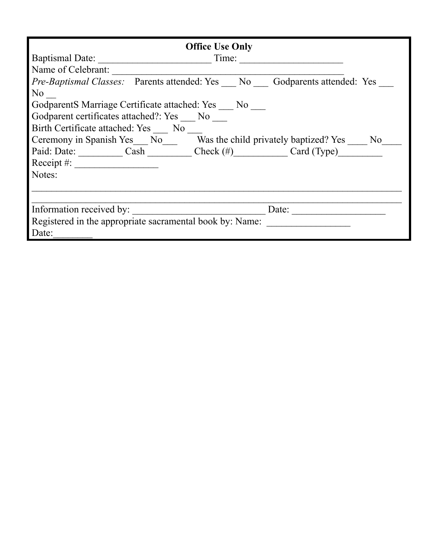| <b>Office Use Only</b>                                                          |
|---------------------------------------------------------------------------------|
| Baptismal Date:<br>Time:                                                        |
| Name of Celebrant:                                                              |
| <i>Pre-Baptismal Classes:</i> Parents attended: Yes No Godparents attended: Yes |
| No.                                                                             |
| GodparentS Marriage Certificate attached: Yes No                                |
| Godparent certificates attached?: Yes No                                        |
| Birth Certificate attached: Yes No                                              |
| Ceremony in Spanish Yes___ No___ Was the child privately baptized? Yes ___ No_  |
| Paid: Date: Cash Check (#) Card (Type)                                          |
| Receipt #: $\qquad \qquad$                                                      |
| Notes:                                                                          |
|                                                                                 |
|                                                                                 |
| Information received by:<br>Date:                                               |
| Registered in the appropriate sacramental book by: Name:                        |
| Date:                                                                           |